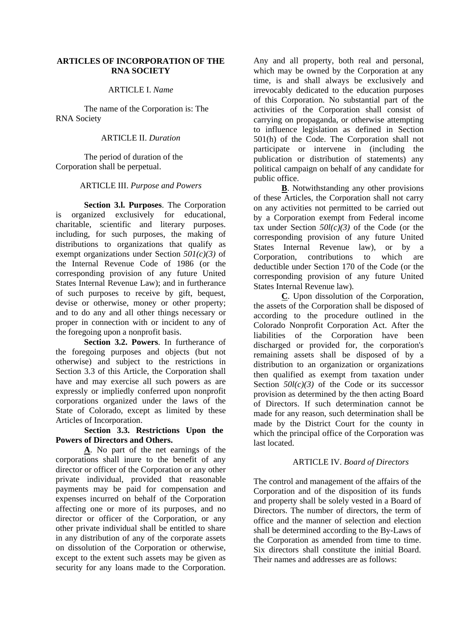## **ARTICLES OF INCORPORATION OF THE RNA SOCIETY**

### ARTICLE I. *Name*

The name of the Corporation is: The RNA Society

## ARTICLE II. *Duration*

The period of duration of the Corporation shall be perpetual.

## ARTICLE III. *Purpose and Powers*

**Section 3.l. Purposes**. The Corporation is organized exclusively for educational, charitable, scientific and literary purposes. including, for such purposes, the making of distributions to organizations that qualify as exempt organizations under Section *501(c)(3)* of the Internal Revenue Code of 1986 (or the corresponding provision of any future United States Internal Revenue Law); and in furtherance of such purposes to receive by gift, bequest, devise or otherwise, money or other property; and to do any and all other things necessary or proper in connection with or incident to any of the foregoing upon a nonprofit basis.

**Section 3.2. Powers**. In furtherance of the foregoing purposes and objects (but not otherwise) and subject to the restrictions in Section 3.3 of this Article, the Corporation shall have and may exercise all such powers as are expressly or impliedly conferred upon nonprofit corporations organized under the laws of the State of Colorado, except as limited by these Articles of Incorporation.

# **Section 3.3. Restrictions Upon the Powers of Directors and Others.**

**A**. No part of the net earnings of the corporations shall inure to the benefit of any director or officer of the Corporation or any other private individual, provided that reasonable payments may be paid for compensation and expenses incurred on behalf of the Corporation affecting one or more of its purposes, and no director or officer of the Corporation, or any other private individual shall be entitled to share in any distribution of any of the corporate assets on dissolution of the Corporation or otherwise, except to the extent such assets may be given as security for any loans made to the Corporation.

Any and all property, both real and personal, which may be owned by the Corporation at any time, is and shall always be exclusively and irrevocably dedicated to the education purposes of this Corporation. No substantial part of the activities of the Corporation shall consist of carrying on propaganda, or otherwise attempting to influence legislation as defined in Section 501(h) of the Code. The Corporation shall not participate or intervene in (including the publication or distribution of statements) any political campaign on behalf of any candidate for public office.

**B**. Notwithstanding any other provisions of these Articles, the Corporation shall not carry on any activities not permitted to be carried out by a Corporation exempt from Federal income tax under Section *50l(c)(3)* of the Code (or the corresponding provision of any future United States Internal Revenue law), or by a Corporation, contributions to which are deductible under Section 170 of the Code (or the corresponding provision of any future United States Internal Revenue law).

**C**. Upon dissolution of the Corporation, the assets of the Corporation shall be disposed of according to the procedure outlined in the Colorado Nonprofit Corporation Act. After the liabilities of the Corporation have been discharged or provided for, the corporation's remaining assets shall be disposed of by a distribution to an organization or organizations then qualified as exempt from taxation under Section  $50l(c)(3)$  of the Code or its successor provision as determined by the then acting Board of Directors. If such determination cannot be made for any reason, such determination shall be made by the District Court for the county in which the principal office of the Corporation was last located.

# ARTICLE IV. *Board of Directors*

The control and management of the affairs of the Corporation and of the disposition of its funds and property shall be solely vested in a Board of Directors. The number of directors, the term of office and the manner of selection and election shall be determined according to the By-Laws of the Corporation as amended from time to time. Six directors shall constitute the initial Board. Their names and addresses are as follows: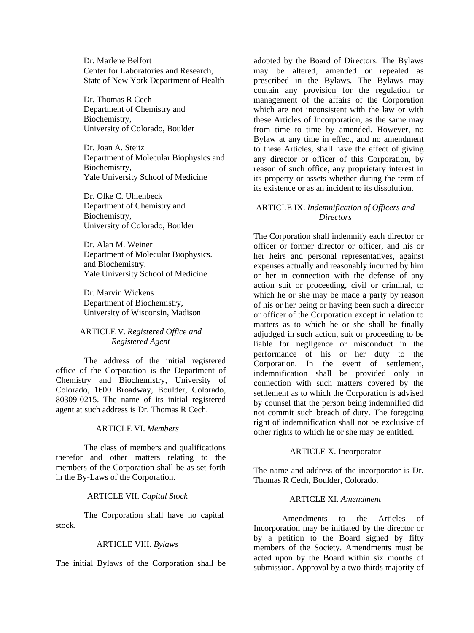Dr. Marlene Belfort Center for Laboratories and Research, State of New York Department of Health

Dr. Thomas R Cech Department of Chemistry and Biochemistry, University of Colorado, Boulder

Dr. Joan A. Steitz Department of Molecular Biophysics and Biochemistry, Yale University School of Medicine

Dr. Olke C. Uhlenbeck Department of Chemistry and Biochemistry, University of Colorado, Boulder

Dr. Alan M. Weiner Department of Molecular Biophysics. and Biochemistry, Yale University School of Medicine

Dr. Marvin Wickens Department of Biochemistry, University of Wisconsin, Madison

## ARTICLE V. *Registered Office and Registered Agent*

The address of the initial registered office of the Corporation is the Department of Chemistry and Biochemistry, University of Colorado, 1600 Broadway, Boulder, Colorado, 80309-0215. The name of its initial registered agent at such address is Dr. Thomas R Cech.

# ARTICLE VI. *Members*

The class of members and qualifications therefor and other matters relating to the members of the Corporation shall be as set forth in the By-Laws of the Corporation.

### ARTICLE VII. *Capital Stock*

The Corporation shall have no capital stock.

### ARTICLE VIII. *Bylaws*

The initial Bylaws of the Corporation shall be

adopted by the Board of Directors. The Bylaws may be altered, amended or repealed as prescribed in the Bylaws. The Bylaws may contain any provision for the regulation or management of the affairs of the Corporation which are not inconsistent with the law or with these Articles of Incorporation, as the same may from time to time by amended. However, no Bylaw at any time in effect, and no amendment to these Articles, shall have the effect of giving any director or officer of this Corporation, by reason of such office, any proprietary interest in its property or assets whether during the term of its existence or as an incident to its dissolution.

### ARTICLE IX. *Indemnification of Officers and Directors*

The Corporation shall indemnify each director or officer or former director or officer, and his or her heirs and personal representatives, against expenses actually and reasonably incurred by him or her in connection with the defense of any action suit or proceeding, civil or criminal, to which he or she may be made a party by reason of his or her being or having been such a director or officer of the Corporation except in relation to matters as to which he or she shall be finally adjudged in such action, suit or proceeding to be liable for negligence or misconduct in the performance of his or her duty to the Corporation. In the event of settlement, indemnification shall be provided only in connection with such matters covered by the settlement as to which the Corporation is advised by counsel that the person being indemnified did not commit such breach of duty. The foregoing right of indemnification shall not be exclusive of other rights to which he or she may be entitled.

### ARTICLE X. Incorporator

The name and address of the incorporator is Dr. Thomas R Cech, Boulder, Colorado.

### ARTICLE XI. *Amendment*

Amendments to the Articles of Incorporation may be initiated by the director or by a petition to the Board signed by fifty members of the Society. Amendments must be acted upon by the Board within six months of submission. Approval by a two-thirds majority of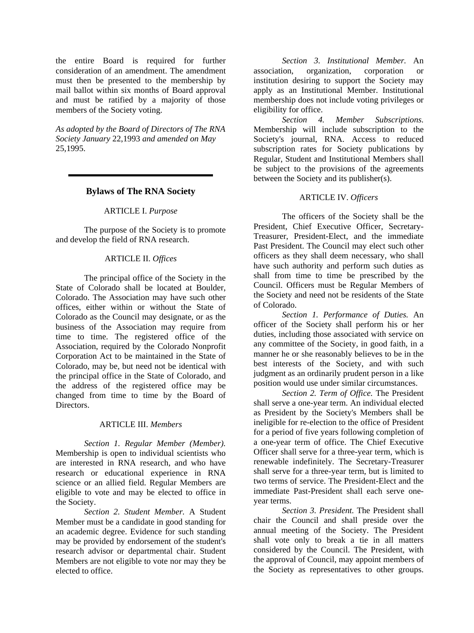the entire Board is required for further consideration of an amendment. The amendment must then be presented to the membership by mail ballot within six months of Board approval and must be ratified by a majority of those members of the Society voting.

*As adopted by the Board of Directors of The RNA Society January* 22,1993 *and amended on May*  25,1995.

## **Bylaws of The RNA Society**

#### ARTICLE I. *Purpose*

The purpose of the Society is to promote and develop the field of RNA research.

#### ARTICLE II. *Offices*

The principal office of the Society in the State of Colorado shall be located at Boulder, Colorado. The Association may have such other offices, either within or without the State of Colorado as the Council may designate, or as the business of the Association may require from time to time. The registered office of the Association, required by the Colorado Nonprofit Corporation Act to be maintained in the State of Colorado, may be, but need not be identical with the principal office in the State of Colorado, and the address of the registered office may be changed from time to time by the Board of Directors.

#### ARTICLE III. *Members*

*Section 1. Regular Member (Member).* Membership is open to individual scientists who are interested in RNA research, and who have research or educational experience in RNA science or an allied field. Regular Members are eligible to vote and may be elected to office in the Society.

*Section 2. Student Member.* A Student Member must be a candidate in good standing for an academic degree. Evidence for such standing may be provided by endorsement of the student's research advisor or departmental chair. Student Members are not eligible to vote nor may they be elected to office.

*Section 3. Institutional Member.* An association, organization, corporation or institution desiring to support the Society may apply as an Institutional Member. Institutional membership does not include voting privileges or eligibility for office.

*Section 4. Member Subscriptions.* Membership will include subscription to the Society's journal, RNA. Access to reduced subscription rates for Society publications by Regular, Student and Institutional Members shall be subject to the provisions of the agreements between the Society and its publisher(s).

#### ARTICLE IV. *Officers*

The officers of the Society shall be the President, Chief Executive Officer, Secretary-Treasurer, President-Elect, and the immediate Past President. The Council may elect such other officers as they shall deem necessary, who shall have such authority and perform such duties as shall from time to time be prescribed by the Council. Officers must be Regular Members of the Society and need not be residents of the State of Colorado.

*Section 1. Performance of Duties.* An officer of the Society shall perform his or her duties, including those associated with service on any committee of the Society, in good faith, in a manner he or she reasonably believes to be in the best interests of the Society, and with such judgment as an ordinarily prudent person in a like position would use under similar circumstances.

*Section 2. Term of Office.* The President shall serve a one-year term. An individual elected as President by the Society's Members shall be ineligible for re-election to the office of President for a period of five years following completion of a one-year term of office. The Chief Executive Officer shall serve for a three-year term, which is renewable indefinitely. The Secretary-Treasurer shall serve for a three-year term, but is limited to two terms of service. The President-Elect and the immediate Past-President shall each serve oneyear terms.

*Section 3. President.* The President shall chair the Council and shall preside over the annual meeting of the Society. The President shall vote only to break a tie in all matters considered by the Council. The President, with the approval of Council, may appoint members of the Society as representatives to other groups.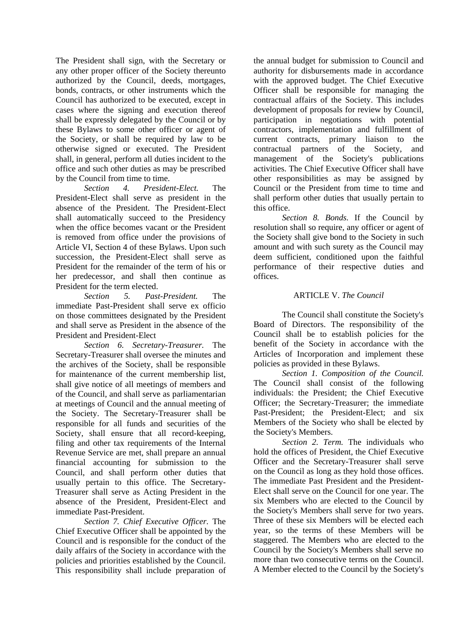The President shall sign, with the Secretary or any other proper officer of the Society thereunto authorized by the Council, deeds, mortgages, bonds, contracts, or other instruments which the Council has authorized to be executed, except in cases where the signing and execution thereof shall be expressly delegated by the Council or by these Bylaws to some other officer or agent of the Society, or shall be required by law to be otherwise signed or executed. The President shall, in general, perform all duties incident to the office and such other duties as may be prescribed by the Council from time to time.

*Section 4. President-Elect.* The President-Elect shall serve as president in the absence of the President. The President-Elect shall automatically succeed to the Presidency when the office becomes vacant or the President is removed from office under the provisions of Article VI, Section 4 of these Bylaws. Upon such succession, the President-Elect shall serve as President for the remainder of the term of his or her predecessor, and shall then continue as President for the term elected.

*Section 5. Past-President.* The immediate Past-President shall serve ex officio on those committees designated by the President and shall serve as President in the absence of the President and President-Elect

*Section 6. Secretary-Treasurer.* The Secretary-Treasurer shall oversee the minutes and the archives of the Society, shall be responsible for maintenance of the current membership list, shall give notice of all meetings of members and of the Council, and shall serve as parliamentarian at meetings of Council and the annual meeting of the Society. The Secretary-Treasurer shall be responsible for all funds and securities of the Society, shall ensure that all record-keeping, filing and other tax requirements of the Internal Revenue Service are met, shall prepare an annual financial accounting for submission to the Council, and shall perform other duties that usually pertain to this office. The Secretary-Treasurer shall serve as Acting President in the absence of the President, President-Elect and immediate Past-President.

*Section 7. Chief Executive Officer.* The Chief Executive Officer shall be appointed by the Council and is responsible for the conduct of the daily affairs of the Society in accordance with the policies and priorities established by the Council. This responsibility shall include preparation of

the annual budget for submission to Council and authority for disbursements made in accordance with the approved budget. The Chief Executive Officer shall be responsible for managing the contractual affairs of the Society. This includes development of proposals for review by Council, participation in negotiations with potential contractors, implementation and fulfillment of current contracts, primary liaison to the contractual partners of the Society, and management of the Society's publications activities. The Chief Executive Officer shall have other responsibilities as may be assigned by Council or the President from time to time and shall perform other duties that usually pertain to this office.

*Section 8. Bonds.* If the Council by resolution shall so require, any officer or agent of the Society shall give bond to the Society in such amount and with such surety as the Council may deem sufficient, conditioned upon the faithful performance of their respective duties and offices.

## ARTICLE V. *The Council*

The Council shall constitute the Society's Board of Directors. The responsibility of the Council shall be to establish policies for the benefit of the Society in accordance with the Articles of Incorporation and implement these policies as provided in these Bylaws.

*Section 1. Composition of the Council.* The Council shall consist of the following individuals: the President; the Chief Executive Officer; the Secretary-Treasurer; the immediate Past-President; the President-Elect; and six Members of the Society who shall be elected by the Society's Members.

*Section 2. Term.* The individuals who hold the offices of President, the Chief Executive Officer and the Secretary-Treasurer shall serve on the Council as long as they hold those offices. The immediate Past President and the President-Elect shall serve on the Council for one year. The six Members who are elected to the Council by the Society's Members shall serve for two years. Three of these six Members will be elected each year, so the terms of these Members will be staggered. The Members who are elected to the Council by the Society's Members shall serve no more than two consecutive terms on the Council. A Member elected to the Council by the Society's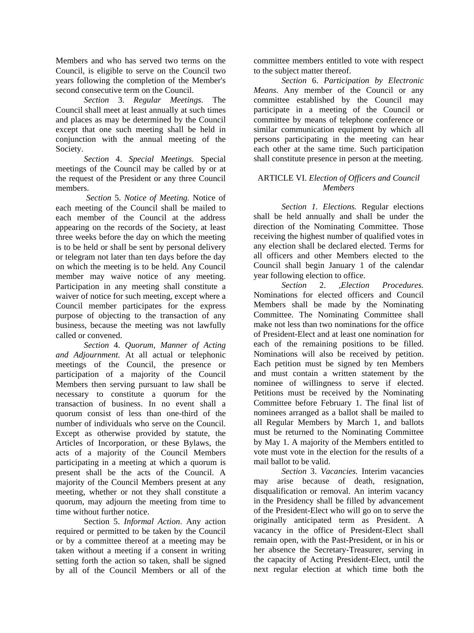Members and who has served two terms on the Council, is eligible to serve on the Council two years following the completion of the Member's second consecutive term on the Council.

*Section* 3. *Regular Meetings.* The Council shall meet at least annually at such times and places as may be determined by the Council except that one such meeting shall be held in conjunction with the annual meeting of the Society.

*Section* 4. *Special Meetings.* Special meetings of the Council may be called by or at the request of the President or any three Council members.

*Section* 5. *Notice of Meeting.* Notice of each meeting of the Council shall be mailed to each member of the Council at the address appearing on the records of the Society, at least three weeks before the day on which the meeting is to be held or shall be sent by personal delivery or telegram not later than ten days before the day on which the meeting is to be held. Any Council member may waive notice of any meeting. Participation in any meeting shall constitute a waiver of notice for such meeting, except where a Council member participates for the express purpose of objecting to the transaction of any business, because the meeting was not lawfully called or convened.

*Section* 4. *Quorum, Manner of Acting and Adjournment.* At all actual or telephonic meetings of the Council, the presence or participation of a majority of the Council Members then serving pursuant to law shall be necessary to constitute a quorum for the transaction of business. In no event shall a quorum consist of less than one-third of the number of individuals who serve on the Council. Except as otherwise provided by statute, the Articles of Incorporation, or these Bylaws, the acts of a majority of the Council Members participating in a meeting at which a quorum is present shall be the acts of the Council. A majority of the Council Members present at any meeting, whether or not they shall constitute a quorum, may adjourn the meeting from time to time without further notice.

Section 5. *Informal Action*. Any action required or permitted to be taken by the Council or by a committee thereof at a meeting may be taken without a meeting if a consent in writing setting forth the action so taken, shall be signed by all of the Council Members or all of the committee members entitled to vote with respect to the subject matter thereof.

*Section* 6. *Participation by Electronic Means.* Any member of the Council or any committee established by the Council may participate in a meeting of the Council or committee by means of telephone conference or similar communication equipment by which all persons participating in the meeting can hear each other at the same time. Such participation shall constitute presence in person at the meeting.

# ARTICLE VI. *Election of Officers and Council Members*

*Section 1. Elections.* Regular elections shall be held annually and shall be under the direction of the Nominating Committee. Those receiving the highest number of qualified votes in any election shall be declared elected. Terms for all officers and other Members elected to the Council shall begin January 1 of the calendar year following election to office.

*Section* 2. *,Election Procedures.*  Nominations for elected officers and Council Members shall be made by the Nominating Committee. The Nominating Committee shall make not less than two nominations for the office of President-Elect and at least one nomination for each of the remaining positions to be filled. Nominations will also be received by petition. Each petition must be signed by ten Members and must contain a written statement by the nominee of willingness to serve if elected. Petitions must be received by the Nominating Committee before February 1. The final list of nominees arranged as a ballot shall be mailed to all Regular Members by March 1, and ballots must be returned to the Nominating Committee by May 1. A majority of the Members entitled to vote must vote in the election for the results of a mail ballot to be valid.

*Section* 3. *Vacancies.* Interim vacancies may arise because of death, resignation, disqualification or removal. An interim vacancy in the Presidency shall be filled by advancement of the President-Elect who will go on to serve the originally anticipated term as President. A vacancy in the office of President-Elect shall remain open, with the Past-President, or in his or her absence the Secretary-Treasurer, serving in the capacity of Acting President-Elect, until the next regular election at which time both the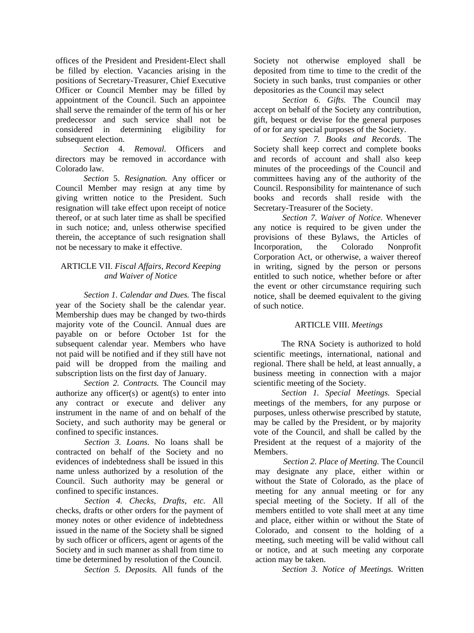offices of the President and President-Elect shall be filled by election. Vacancies arising in the positions of Secretary-Treasurer, Chief Executive Officer or Council Member may be filled by appointment of the Council. Such an appointee shall serve the remainder of the term of his or her predecessor and such service shall not be considered in determining eligibility for subsequent election.

*Section* 4. *Removal.* Officers and directors may be removed in accordance with Colorado law.

*Section* 5. *Resignation.* Any officer or Council Member may resign at any time by giving written notice to the President. Such resignation will take effect upon receipt of notice thereof, or at such later time as shall be specified in such notice; and, unless otherwise specified therein, the acceptance of such resignation shall not be necessary to make it effective.

# ARTICLE VII. *Fiscal Affairs, Record Keeping and Waiver of Notice*

*Section 1. Calendar and Dues.* The fiscal year of the Society shall be the calendar year. Membership dues may be changed by two-thirds majority vote of the Council. Annual dues are payable on or before October 1st for the subsequent calendar year. Members who have not paid will be notified and if they still have not paid will be dropped from the mailing and subscription lists on the first day of January.

*Section 2. Contracts.* The Council may authorize any officer(s) or agent(s) to enter into any contract or execute and deliver any instrument in the name of and on behalf of the Society, and such authority may be general or confined to specific instances.

*Section 3. Loans.* No loans shall be contracted on behalf of the Society and no evidences of indebtedness shall be issued in this name unless authorized by a resolution of the Council. Such authority may be general or confined to specific instances.

*Section 4. Checks, Drafts, etc.* All checks, drafts or other orders for the payment of money notes or other evidence of indebtedness issued in the name of the Society shall be signed by such officer or officers, agent or agents of the Society and in such manner as shall from time to time be determined by resolution of the Council.

*Section 5. Deposits.* All funds of the

Society not otherwise employed shall be deposited from time to time to the credit of the Society in such banks, trust companies or other depositories as the Council may select

*Section 6. Gifts.* The Council may accept on behalf of the Society any contribution, gift, bequest or devise for the general purposes of or for any special purposes of the Society.

*Section 7. Books and Records.* The Society shall keep correct and complete books and records of account and shall also keep minutes of the proceedings of the Council and committees having any of the authority of the Council. Responsibility for maintenance of such books and records shall reside with the Secretary-Treasurer of the Society.

*Section 7. Waiver of Notice.* Whenever any notice is required to be given under the provisions of these Bylaws, the Articles of Incorporation, the Colorado Nonprofit Corporation Act, or otherwise, a waiver thereof in writing, signed by the person or persons entitled to such notice, whether before or after the event or other circumstance requiring such notice, shall be deemed equivalent to the giving of such notice.

# ARTICLE VIII. *Meetings*

The RNA Society is authorized to hold scientific meetings, international, national and regional. There shall be held, at least annually, a business meeting in connection with a major scientific meeting of the Society.

*Section 1. Special Meetings.* Special meetings of the members, for any purpose or purposes, unless otherwise prescribed by statute, may be called by the President, or by majority vote of the Council, and shall be called by the President at the request of a majority of the Members.

*Section 2. Place of Meeting.* The Council may designate any place, either within or without the State of Colorado, as the place of meeting for any annual meeting or for any special meeting of the Society. If all of the members entitled to vote shall meet at any time and place, either within or without the State of Colorado, and consent to the holding of a meeting, such meeting will be valid without call or notice, and at such meeting any corporate action may be taken.

*Section 3. Notice of Meetings.* Written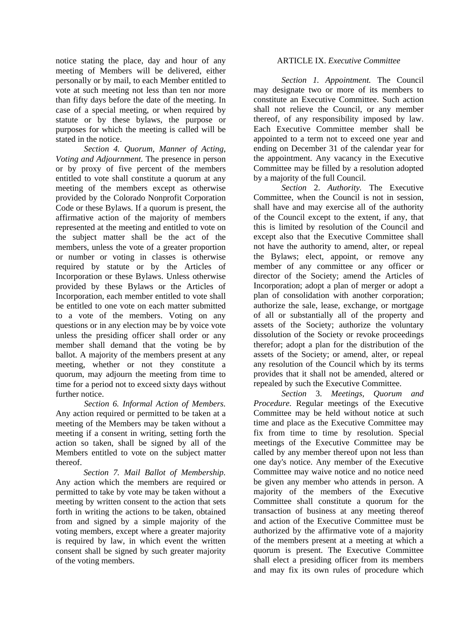notice stating the place, day and hour of any meeting of Members will be delivered, either personally or by mail, to each Member entitled to vote at such meeting not less than ten nor more than fifty days before the date of the meeting. In case of a special meeting, or when required by statute or by these bylaws, the purpose or purposes for which the meeting is called will be stated in the notice.

*Section 4. Quorum, Manner of Acting, Voting and Adjournment.* The presence in person or by proxy of five percent of the members entitled to vote shall constitute a quorum at any meeting of the members except as otherwise provided by the Colorado Nonprofit Corporation Code or these Bylaws. If a quorum is present, the affirmative action of the majority of members represented at the meeting and entitled to vote on the subject matter shall be the act of the members, unless the vote of a greater proportion or number or voting in classes is otherwise required by statute or by the Articles of Incorporation or these Bylaws. Unless otherwise provided by these Bylaws or the Articles of Incorporation, each member entitled to vote shall be entitled to one vote on each matter submitted to a vote of the members. Voting on any questions or in any election may be by voice vote unless the presiding officer shall order or any member shall demand that the voting be by ballot. A majority of the members present at any meeting, whether or not they constitute a quorum, may adjourn the meeting from time to time for a period not to exceed sixty days without further notice.

*Section 6. Informal Action of Members.*  Any action required or permitted to be taken at a meeting of the Members may be taken without a meeting if a consent in writing, setting forth the action so taken, shall be signed by all of the Members entitled to vote on the subject matter thereof.

*Section 7. Mail Ballot of Membership.*  Any action which the members are required or permitted to take by vote may be taken without a meeting by written consent to the action that sets forth in writing the actions to be taken, obtained from and signed by a simple majority of the voting members, except where a greater majority is required by law, in which event the written consent shall be signed by such greater majority of the voting members.

## ARTICLE IX. *Executive Committee*

*Section 1. Appointment.* The Council may designate two or more of its members to constitute an Executive Committee. Such action shall not relieve the Council, or any member thereof, of any responsibility imposed by law. Each Executive Committee member shall be appointed to a term not to exceed one year and ending on December 31 of the calendar year for the appointment. Any vacancy in the Executive Committee may be filled by a resolution adopted by a majority of the full Council.

*Section* 2. *Authority.* The Executive Committee, when the Council is not in session, shall have and may exercise all of the authority of the Council except to the extent, if any, that this is limited by resolution of the Council and except also that the Executive Committee shall not have the authority to amend, alter, or repeal the Bylaws; elect, appoint, or remove any member of any committee or any officer or director of the Society; amend the Articles of Incorporation; adopt a plan of merger or adopt a plan of consolidation with another corporation; authorize the sale, lease, exchange, or mortgage of all or substantially all of the property and assets of the Society; authorize the voluntary dissolution of the Society or revoke proceedings therefor; adopt a plan for the distribution of the assets of the Society; or amend, alter, or repeal any resolution of the Council which by its terms provides that it shall not be amended, altered or repealed by such the Executive Committee.

*Section* 3. *Meetings, Quorum and Procedure.* Regular meetings of the Executive Committee may be held without notice at such time and place as the Executive Committee may fix from time to time by resolution. Special meetings of the Executive Committee may be called by any member thereof upon not less than one day's notice. Any member of the Executive Committee may waive notice and no notice need be given any member who attends in person. A majority of the members of the Executive Committee shall constitute a quorum for the transaction of business at any meeting thereof and action of the Executive Committee must be authorized by the affirmative vote of a majority of the members present at a meeting at which a quorum is present. The Executive Committee shall elect a presiding officer from its members and may fix its own rules of procedure which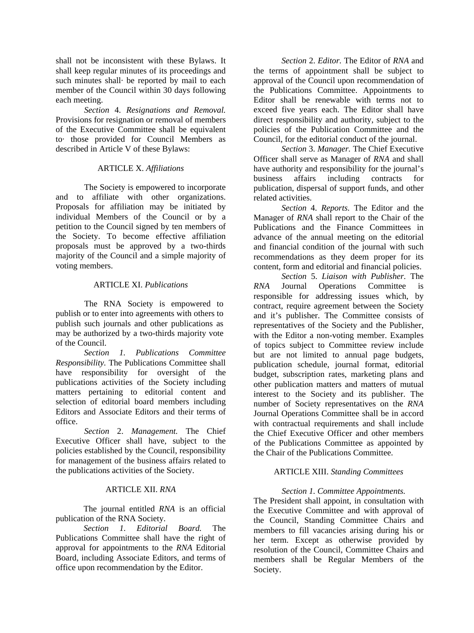shall not be inconsistent with these Bylaws. It shall keep regular minutes of its proceedings and such minutes shall· be reported by mail to each member of the Council within 30 days following each meeting.

*Section* 4. *Resignations and Removal.*  Provisions for resignation or removal of members of the Executive Committee shall be equivalent to· those provided for Council Members as described in Article V of these Bylaws:

## ARTICLE X. *Affiliations*

The Society is empowered to incorporate and to affiliate with other organizations. Proposals for affiliation may be initiated by individual Members of the Council or by a petition to the Council signed by ten members of the Society. To become effective affiliation proposals must be approved by a two-thirds majority of the Council and a simple majority of voting members.

## ARTICLE XI. *Publications*

The RNA Society is empowered to publish or to enter into agreements with others to publish such journals and other publications as may be authorized by a two-thirds majority vote of the Council.

*Section 1. Publications Committee Responsibility.* The Publications Committee shall have responsibility for oversight of the publications activities of the Society including matters pertaining to editorial content and selection of editorial board members including Editors and Associate Editors and their terms of office.

*Section* 2. *Management.* The Chief Executive Officer shall have, subject to the policies established by the Council, responsibility for management of the business affairs related to the publications activities of the Society.

### ARTICLE XII. *RNA*

The journal entitled *RNA* is an official publication of the RNA Society.

*Section 1. Editorial Board.* The Publications Committee shall have the right of approval for appointments to the *RNA* Editorial Board, including Associate Editors, and terms of office upon recommendation by the Editor.

*Section* 2. *Editor.* The Editor of *RNA* and the terms of appointment shall be subject to approval of the Council upon recommendation of the Publications Committee. Appointments to Editor shall be renewable with terms not to exceed five years each. The Editor shall have direct responsibility and authority, subject to the policies of the Publication Committee and the Council, for the editorial conduct of the journal.

*Section* 3. *Manager.* The Chief Executive Officer shall serve as Manager of *RNA* and shall have authority and responsibility for the journal's business affairs including contracts for publication, dispersal of support funds, and other related activities.

*Section* 4. *Reports.* The Editor and the Manager of *RNA* shall report to the Chair of the Publications and the Finance Committees in advance of the annual meeting on the editorial and financial condition of the journal with such recommendations as they deem proper for its content, form and editorial and financial policies.

*Section* 5. *Liaison with Publisher.* The *RNA* Journal Operations Committee is responsible for addressing issues which, by contract, require agreement between the Society and it's publisher. The Committee consists of representatives of the Society and the Publisher, with the Editor a non-voting member. Examples of topics subject to Committee review include but are not limited to annual page budgets, publication schedule, journal format, editorial budget, subscription rates, marketing plans and other publication matters and matters of mutual interest to the Society and its publisher. The number of Society representatives on the *RNA*  Journal Operations Committee shall be in accord with contractual requirements and shall include the Chief Executive Officer and other members of the Publications Committee as appointed by the Chair of the Publications Committee.

# ARTICLE XIII. *Standing Committees*

# *Section 1. Committee Appointments.*

The President shall appoint, in consultation with the Executive Committee and with approval of the Council, Standing Committee Chairs and members to fill vacancies arising during his or her term. Except as otherwise provided by resolution of the Council, Committee Chairs and members shall be Regular Members of the Society.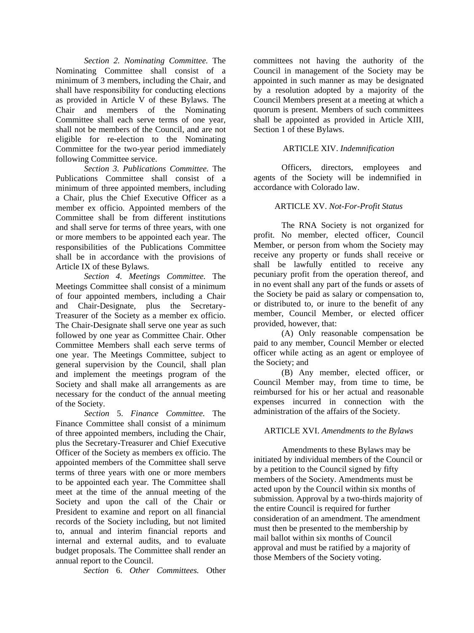*Section 2. Nominating Committee.* The Nominating Committee shall consist of a minimum of 3 members, including the Chair, and shall have responsibility for conducting elections as provided in Article V of these Bylaws. The Chair and members of the Nominating Committee shall each serve terms of one year, shall not be members of the Council, and are not eligible for re-election to the Nominating Committee for the two-year period immediately following Committee service.

*Section 3. Publications Committee.* The Publications Committee shall consist of a minimum of three appointed members, including a Chair, plus the Chief Executive Officer as a member ex officio. Appointed members of the Committee shall be from different institutions and shall serve for terms of three years, with one or more members to be appointed each year. The responsibilities of the Publications Committee shall be in accordance with the provisions of Article IX of these Bylaws.

*Section 4. Meetings Committee.* The Meetings Committee shall consist of a minimum of four appointed members, including a Chair and Chair-Designate, plus the Secretary-Treasurer of the Society as a member ex officio. The Chair-Designate shall serve one year as such followed by one year as Committee Chair. Other Committee Members shall each serve terms of one year. The Meetings Committee, subject to general supervision by the Council, shall plan and implement the meetings program of the Society and shall make all arrangements as are necessary for the conduct of the annual meeting of the Society.

*Section* 5. *Finance Committee.* The Finance Committee shall consist of a minimum of three appointed members, including the Chair, plus the Secretary-Treasurer and Chief Executive Officer of the Society as members ex officio. The appointed members of the Committee shall serve terms of three years with one or more members to be appointed each year. The Committee shall meet at the time of the annual meeting of the Society and upon the call of the Chair or President to examine and report on all financial records of the Society including, but not limited to, annual and interim financial reports and internal and external audits, and to evaluate budget proposals. The Committee shall render an annual report to the Council.

*Section* 6. *Other Committees.* Other

committees not having the authority of the Council in management of the Society may be appointed in such manner as may be designated by a resolution adopted by a majority of the Council Members present at a meeting at which a quorum is present. Members of such committees shall be appointed as provided in Article XIII, Section 1 of these Bylaws.

## ARTICLE XIV. *Indemnification*

Officers, directors, employees and agents of the Society will be indemnified in accordance with Colorado law.

## ARTICLE XV. *Not-For-Profit Status*

The RNA Society is not organized for profit. No member, elected officer, Council Member, or person from whom the Society may receive any property or funds shall receive or shall be lawfully entitled to receive any pecuniary profit from the operation thereof, and in no event shall any part of the funds or assets of the Society be paid as salary or compensation to, or distributed to, or inure to the benefit of any member, Council Member, or elected officer provided, however, that:

(A) Only reasonable compensation be paid to any member, Council Member or elected officer while acting as an agent or employee of the Society; and

(B) Any member, elected officer, or Council Member may, from time to time, be reimbursed for his or her actual and reasonable expenses incurred in connection with the administration of the affairs of the Society.

### ARTICLE XVI. *Amendments to the Bylaws*

Amendments to these Bylaws may be initiated by individual members of the Council or by a petition to the Council signed by fifty members of the Society. Amendments must be acted upon by the Council within six months of submission. Approval by a two-thirds majority of the entire Council is required for further consideration of an amendment. The amendment must then be presented to the membership by mail ballot within six months of Council approval and must be ratified by a majority of those Members of the Society voting.